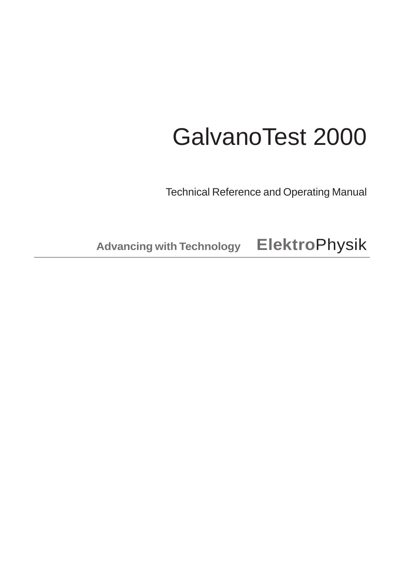## GalvanoTest 2000

Technical Reference and Operating Manual

**Advancing with Technology Elektro**Physik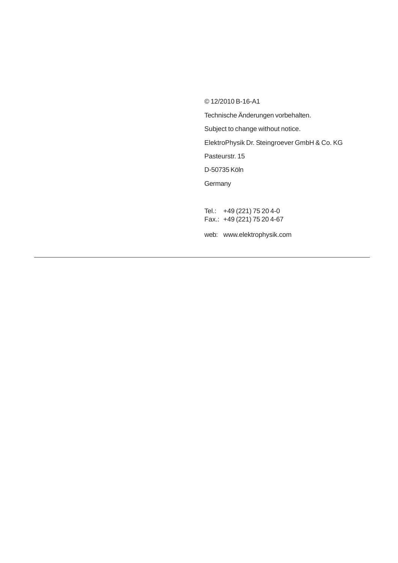© 12/2010 B-16-A1

Technische Änderungen vorbehalten. Subject to change without notice. ElektroPhysik Dr. Steingroever GmbH & Co. KG Pasteurstr. 15 D-50735 Köln **Germany** Tel.: +49 (221) 75 20 4-0 Fax.: +49 (221) 75 20 4-67 web: www.elektrophysik.com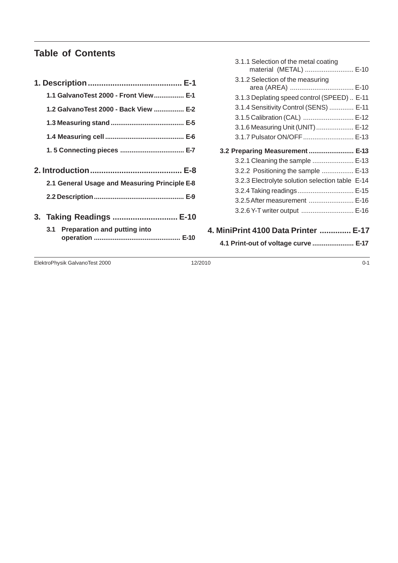#### **Table of Contents**

| 1.1 GalvanoTest 2000 - Front View E-1                        |
|--------------------------------------------------------------|
| 1.2 GalvanoTest 2000 - Back View  E-2                        |
|                                                              |
|                                                              |
|                                                              |
| 2.1 General Usage and Measuring Principle E-8                |
| 3. Taking Readings  E-10<br>3.1 Preparation and putting into |

| 3.1.1 Selection of the metal coating<br>material (METAL)  E-10 |  |
|----------------------------------------------------------------|--|
| 3.1.2 Selection of the measuring<br>area (AREA)  E-10          |  |
| 3.1.3 Deplating speed control (SPEED)  E-11                    |  |
| 3.1.4 Sensitivity Control (SENS)  E-11                         |  |
| 3.1.5 Calibration (CAL)  E-12                                  |  |
| 3.1.6 Measuring Unit (UNIT)  E-12                              |  |
| 3.1.7 Pulsator ON/OFF  E-13                                    |  |
| 3.2 Preparing Measurement  E-13                                |  |
| 3.2.1 Cleaning the sample  E-13                                |  |
| 3.2.2 Positioning the sample  E-13                             |  |
| 3.2.3 Electrolyte solution selection table E-14                |  |
| 3.2.4 Taking readings E-15                                     |  |
| 3.2.5 After measurement  E-16                                  |  |
| 3.2.6 Y-T writer output  E-16                                  |  |
| 4. MiniPrint 4100 Data Printer  E-17                           |  |
| 4.1 Print-out of voltage curve  E-17                           |  |

ElektroPhysik GalvanoTest 2000 12/2010 0-1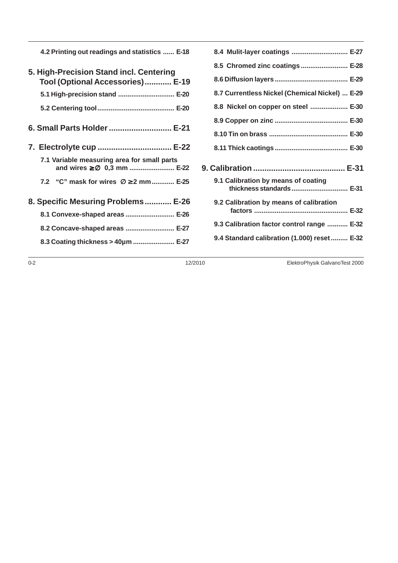**4.2 Printing out readings and statistics ...... E-18**

| 5. High-Precision Stand incl. Centering<br>Tool (Optional Accessories) E-19                |
|--------------------------------------------------------------------------------------------|
| 5.1 High-precision stand  E-20                                                             |
|                                                                                            |
| 6. Small Parts Holder  E-21                                                                |
| 7. Electrolyte cup  E-22                                                                   |
| 7.1 Variable measuring area for small parts<br>and wires $\geq$ $\varnothing$ 0,3 mm  E-22 |
| 7.2 "C" mask for wires Ø ≥ 2 mm E-25                                                       |
| 8. Specific Mesuring Problems E-26                                                         |
| 8.1 Convexe-shaped areas  E-26                                                             |
| 8.2 Concave-shaped areas  E-27                                                             |
| 8.3 Coating thickness > 40um  E-27                                                         |

| 8.4 Mulit-layer coatings  E-27                                  |  |
|-----------------------------------------------------------------|--|
| 8.5 Chromed zinc coatings  E-28                                 |  |
|                                                                 |  |
| 8.7 Currentless Nickel (Chemical Nickel)  E-29                  |  |
| 8.8 Nickel on copper on steel  E-30                             |  |
|                                                                 |  |
|                                                                 |  |
|                                                                 |  |
|                                                                 |  |
|                                                                 |  |
| 9.1 Calibration by means of coating<br>thickness standards E-31 |  |
| 9.2 Calibration by means of calibration                         |  |
| 9.3 Calibration factor control range  E-32                      |  |
| 9.4 Standard calibration (1.000) reset  E-32                    |  |

0-2 12/2010 ElektroPhysik GalvanoTest 2000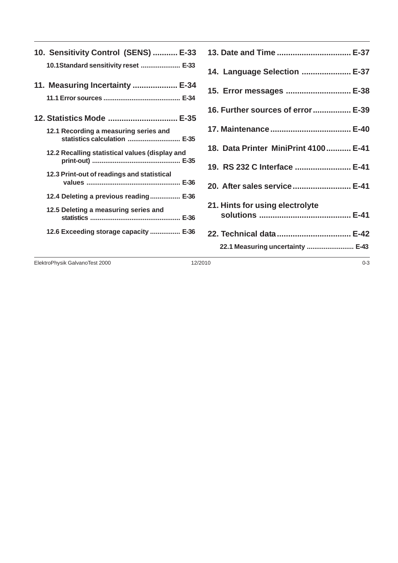| 10. Sensitivity Control (SENS)  E-33                                  |
|-----------------------------------------------------------------------|
| 10.1Standard sensitivity reset  E-33                                  |
| 11. Measuring Incertainty  E-34                                       |
|                                                                       |
| 12. Statistics Mode  E-35                                             |
| 12.1 Recording a measuring series and<br>statistics calculation  E-35 |
| 12.2 Recalling statistical values (display and                        |
| 12.3 Print-out of readings and statistical                            |
| 12.4 Deleting a previous reading E-36                                 |
| 12.5 Deleting a measuring series and                                  |
| 12.6 Exceeding storage capacity  E-36                                 |

| 13. Date and Time  E-37              |
|--------------------------------------|
| 14. Language Selection  E-37         |
| 15. Error messages  E-38             |
| 16. Further sources of error  E-39   |
|                                      |
| 18. Data Printer MiniPrint 4100 E-41 |
| 19. RS 232 C Interface  E-41         |
| 20. After sales service E-41         |
| 21. Hints for using electrolyte      |
|                                      |
| 22.1 Measuring uncertainty  E-43     |

ElektroPhysik GalvanoTest 2000 0-3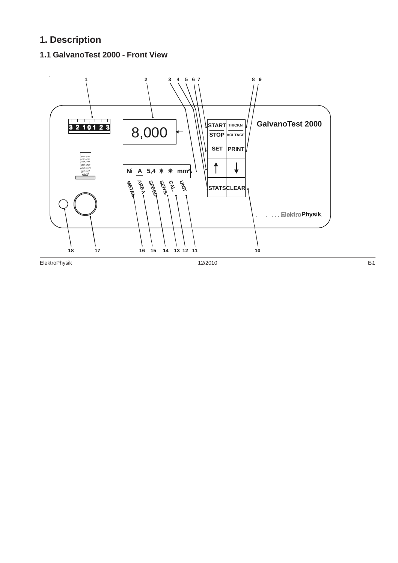#### **1. Description**

#### **1.1 GalvanoTest 2000 - Front View**

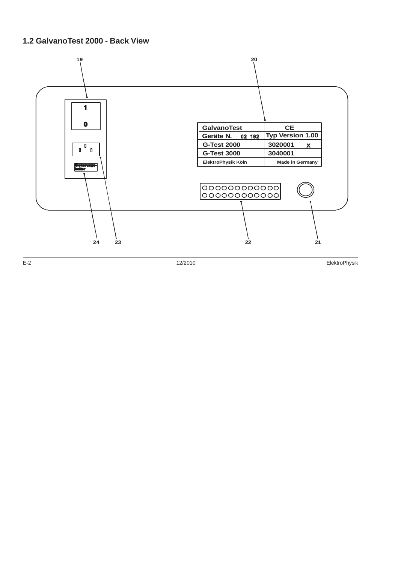#### **1.2 GalvanoTest 2000 - Back View**



E-2 12/2010 ElektroPhysik Energy energy terminal terminal and the series of the series of the series of the series of the series of the series of the series of the series of the series of the series of the series of the se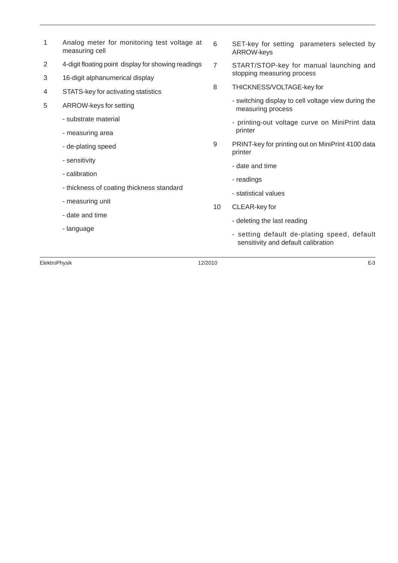- 1 Analog meter for monitoring test voltage at measuring cell
- 2 4-digit floating point display for showing readings
- 3 16-digit alphanumerical display
- 4 STATS-key for activating statistics
- 5 ARROW-keys for setting
	- substrate material
	- measuring area
	- de-plating speed
	- sensitivity
	- calibration
	- thickness of coating thickness standard
	- measuring unit
	- date and time
	- language
- 6 SET-key for setting parameters selected by ARROW-keys
- 7 START/STOP-key for manual launching and stopping measuring process
- 8 THICKNESS/VOLTAGE-key for
	- switching display to cell voltage view during the measuring process
	- printing-out voltage curve on MiniPrint data printer
- 9 PRINT-key for printing out on MiniPrint 4100 data printer
	- date and time
	- readings
	- statistical values
- 10 CLEAR-key for
	- deleting the last reading
	- setting default de-plating speed, default sensitivity and default calibration

ElektroPhysik 12/2010 E-3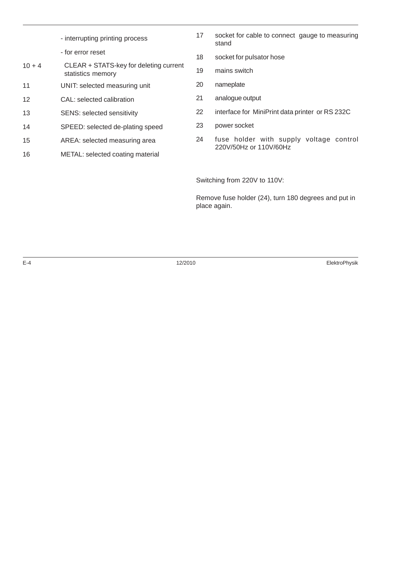|          | - interrupting printing process                             | 17 | socket for cable to connect gauge to measuring<br>stand |
|----------|-------------------------------------------------------------|----|---------------------------------------------------------|
|          | - for error reset                                           | 18 | socket for pulsator hose                                |
| $10 + 4$ | CLEAR + STATS-key for deleting current<br>statistics memory | 19 | mains switch                                            |
| 11       | UNIT: selected measuring unit                               | 20 | nameplate                                               |
| 12       | CAL: selected calibration                                   | 21 | analogue output                                         |
| 13       | <b>SENS: selected sensitivity</b>                           | 22 | interface for MiniPrint data printer or RS 232C         |
| 14       | SPEED: selected de-plating speed                            | 23 | power socket                                            |
| 15       | AREA: selected measuring area                               | 24 | fuse holder with supply voltage control                 |
| 16       | METAL: selected coating material                            |    | 220V/50Hz or 110V/60Hz                                  |
|          |                                                             |    |                                                         |

Switching from 220V to 110V:

Remove fuse holder (24), turn 180 degrees and put in place again.

E-4 12/2010 ElektroPhysik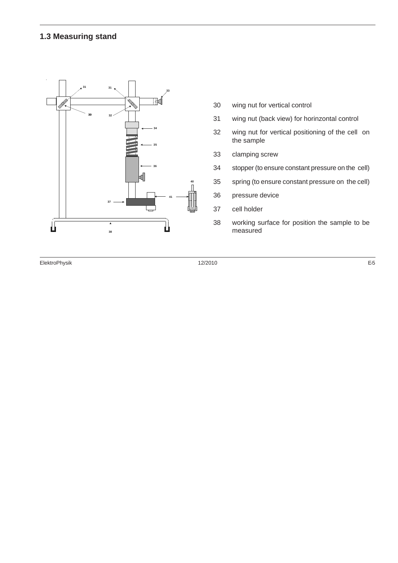#### **1.3 Measuring stand**



- wing nut for vertical control
- wing nut (back view) for horinzontal control
- wing nut for vertical positioning of the cell on the sample
- clamping screw
- stopper (to ensure constant pressure on the cell)
- spring (to ensure constant pressure on the cell)
- pressure device
- cell holder
- working surface for position the sample to be measured

ElektroPhysik 12/2010 E-5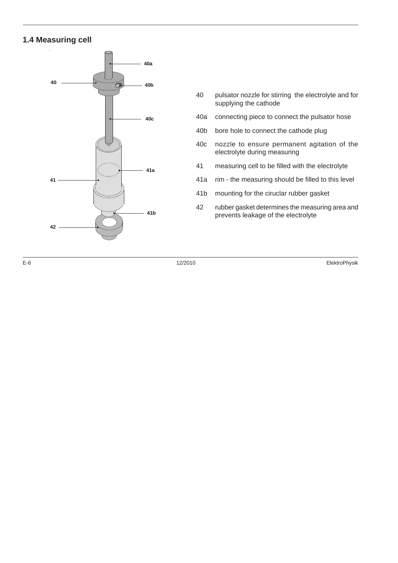#### **1.4 Measuring cell**



- 40 pulsator nozzle for stirring the electrolyte and for supplying the cathode
- 40a connecting piece to connect the pulsator hose
- 40b bore hole to connect the cathode plug
- 40c nozzle to ensure permanent agitation of the electrolyte during measuring
- 41 measuring cell to be filled with the electrolyte
- 41a rim the measuring should be filled to this level
- 41b mounting for the ciruclar rubber gasket
- 42 rubber gasket determines the measuring area and prevents leakage of the electrolyte

E-6 12/2010 ElektroPhysik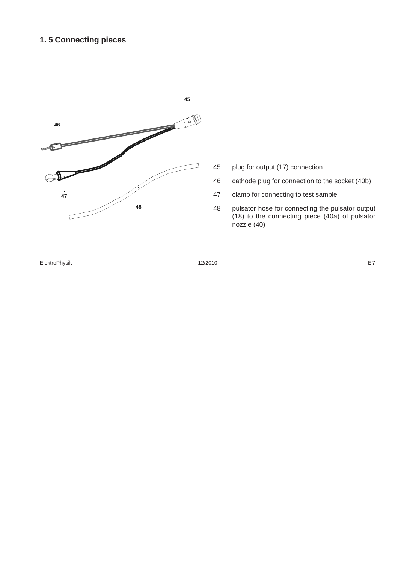#### **1. 5 Connecting pieces**



- plug for output (17) connection
- cathode plug for connection to the socket (40b)
- clamp for connecting to test sample
- pulsator hose for connecting the pulsator output (18) to the connecting piece (40a) of pulsator  $\overline{\text{noz}}$ zle (40)

ElektroPhysik 12/2010 E-7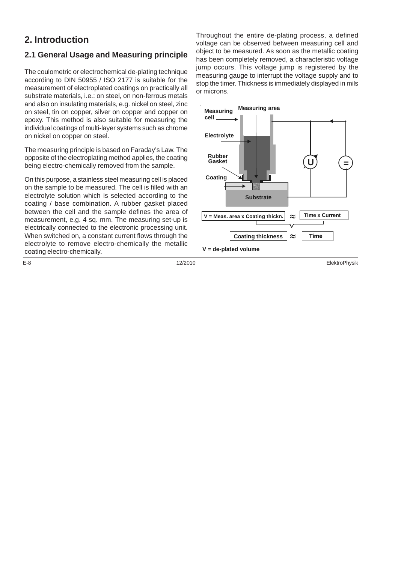#### **2. Introduction**

#### **2.1 General Usage and Measuring principle**

The coulometric or electrochemical de-plating technique according to DIN 50955 / ISO 2177 is suitable for the measurement of electroplated coatings on practically all substrate materials, i.e.: on steel, on non-ferrous metals and also on insulating materials, e.g. nickel on steel, zinc on steel, tin on copper, silver on copper and copper on epoxy. This method is also suitable for measuring the individual coatings of multi-layer systems such as chrome on nickel on copper on steel.

The measuring principle is based on Faraday's Law. The opposite of the electroplating method applies, the coating being electro-chemically removed from the sample.

On this purpose, a stainless steel measuring cell is placed on the sample to be measured. The cell is filled with an electrolyte solution which is selected according to the coating / base combination. A rubber gasket placed between the cell and the sample defines the area of measurement, e.g. 4 sq. mm. The measuring set-up is electrically connected to the electronic processing unit. When switched on, a constant current flows through the electrolyte to remove electro-chemically the metallic coating electro-chemically.

Throughout the entire de-plating process, a defined voltage can be observed between measuring cell and object to be measured. As soon as the metallic coating has been completely removed, a characteristic voltage jump occurs. This voltage jump is registered by the measuring gauge to interrupt the voltage supply and to stop the timer. Thickness is immediately displayed in mils or microns.



E-8 12/2010 ElektroPhysik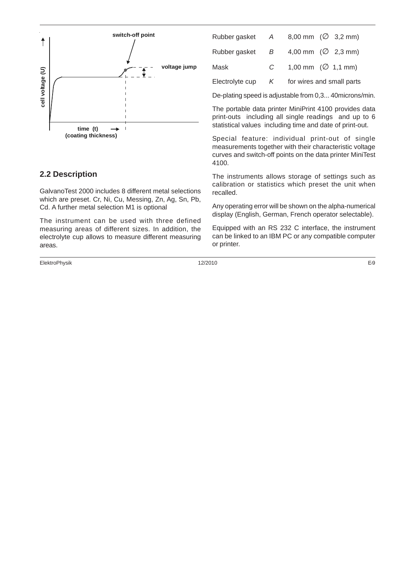

#### **2.2 Description**

GalvanoTest 2000 includes 8 different metal selections which are preset. Cr, Ni, Cu, Messing, Zn, Ag, Sn, Pb, Cd. A further metal selection M1 is optional

The instrument can be used with three defined measuring areas of different sizes. In addition, the electrolyte cup allows to measure different measuring areas.

ElektroPhysik 12/2010 E-9

|                 |               | Rubber gasket $A = 8,00$ mm $(\emptyset 3,2$ mm) |
|-----------------|---------------|--------------------------------------------------|
| Rubber gasket B |               | 4,00 mm $(\varnothing$ 2,3 mm)                   |
| Mask            | $\mathcal{C}$ | 1,00 mm $(\emptyset$ 1,1 mm)                     |
| Electrolyte cup | K             | for wires and small parts                        |

De-plating speed is adjustable from 0,3... 40microns/min.

The portable data printer MiniPrint 4100 provides data print-outs including all single readings and up to 6 statistical values including time and date of print-out.

Special feature: individual print-out of single measurements together with their characteristic voltage curves and switch-off points on the data printer MiniTest 4100.

The instruments allows storage of settings such as calibration or statistics which preset the unit when recalled.

Any operating error will be shown on the alpha-numerical display (English, German, French operator selectable).

Equipped with an RS 232 C interface, the instrument can be linked to an IBM PC or any compatible computer or printer.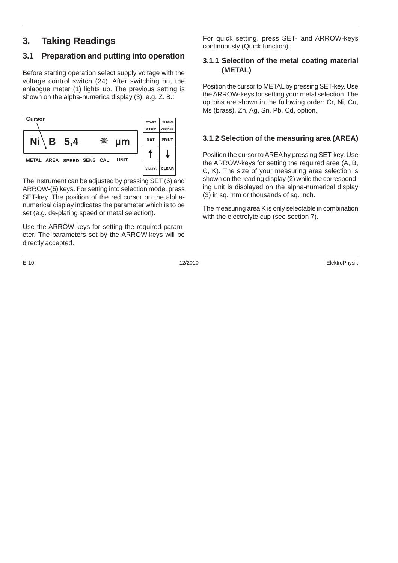#### **3. Taking Readings**

#### **3.1 Preparation and putting into operation**

Before starting operation select supply voltage with the voltage control switch (24). After switching on, the anlaogue meter (1) lights up. The previous setting is shown on the alpha-numerica display (3), e.g. Z. B.:



The instrument can be adjusted by pressing SET (6) and ARROW-(5) keys. For setting into selection mode, press SET-key. The position of the red cursor on the alphanumerical display indicates the parameter which is to be set (e.g. de-plating speed or metal selection).

Use the ARROW-keys for setting the required parameter. The parameters set by the ARROW-keys will be directly accepted.

For quick setting, press SET- and ARROW-keys continuously (Quick function).

#### **3.1.1 Selection of the metal coating material (METAL)**

Position the cursor to METAL by pressing SET-key. Use the ARROW-keys for setting your metal selection. The options are shown in the following order: Cr, Ni, Cu, Ms (brass), Zn, Ag, Sn, Pb, Cd, option.

#### **3.1.2 Selection of the measuring area (AREA)**

Position the cursor to AREA by pressing SET-key. Use the ARROW-keys for setting the required area (A, B, C, K). The size of your measuring area selection is shown on the reading display (2) while the corresponding unit is displayed on the alpha-numerical display (3) in sq. mm or thousands of sq. inch.

The measuring area K is only selectable in combination with the electrolyte cup (see section 7).

E-10 12/2010 ElektroPhysik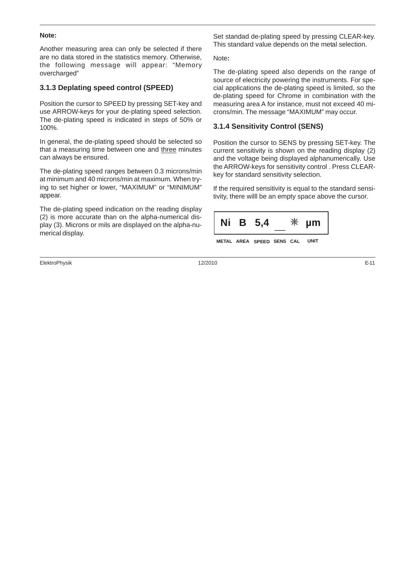#### **Note:**

Another measuring area can only be selected if there are no data stored in the statistics memory. Otherwise, the following message will appear: "Memory overcharged"

#### **3.1.3 Deplating speed control (SPEED)**

Position the cursor to SPEED by pressing SET-key and use ARROW-keys for your de-plating speed selection. The de-plating speed is indicated in steps of 50% or 100%.

In general, the de-plating speed should be selected so that a measuring time between one and three minutes can always be ensured.

The de-plating speed ranges between 0.3 microns/min at minimum and 40 microns/min at maximum. When trying to set higher or lower, "MAXIMUM" or "MINIMUM" appear.

The de-plating speed indication on the reading display (2) is more accurate than on the alpha-numerical display (3). Microns or mils are displayed on the alpha-numerical display.

ElektroPhysik 12/2010 E-11

Set standad de-plating speed by pressing CLEAR-key. This standard value depends on the metal selection.

Note**:**

The de-plating speed also depends on the range of source of electricity powering the instruments. For special applications the de-plating speed is limited, so the de-plating speed for Chrome in combination with the measuring area A for instance, must not exceed 40 microns/min. The message "MAXIMUM" may occur.

#### **3.1.4 Sensitivity Control (SENS)**

Position the cursor to SENS by pressing SET-key. The current sensitivity is shown on the reading display (2) and the voltage being displayed alphanumerically. Use the ARROW-keys for sensitivity control . Press CLEARkey for standard sensitivity selection.

If the required sensitivity is equal to the standard sensitivity, there willl be an empty space above the cursor.

| Ni | <b>B</b> 5,4              |  | µm   |
|----|---------------------------|--|------|
|    | METAL AREA SPEED SENS CAL |  | UNIT |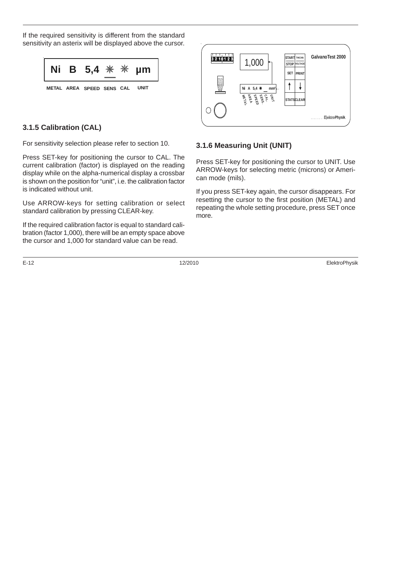If the required sensitivity is different from the standard sensitivity an asterix will be displayed above the cursor.



#### **3.1.5 Calibration (CAL)**

For sensitivity selection please refer to section 10.

Press SET-key for positioning the cursor to CAL. The current calibration (factor) is displayed on the reading display while on the alpha-numerical display a crossbar is shown on the position for "unit", i.e. the calibration factor is indicated without unit.

Use ARROW-keys for setting calibration or select standard calibration by pressing CLEAR-key.

If the required calibration factor is equal to standard calibration (factor 1,000), there will be an empty space above the cursor and 1,000 for standard value can be read.





#### **3.1.6 Measuring Unit (UNIT)**

Press SET-key for positioning the cursor to UNIT. Use ARROW-keys for selecting metric (microns) or American mode (mils).

If you press SET-key again, the cursor disappears. For resetting the cursor to the first position (METAL) and repeating the whole setting procedure, press SET once more.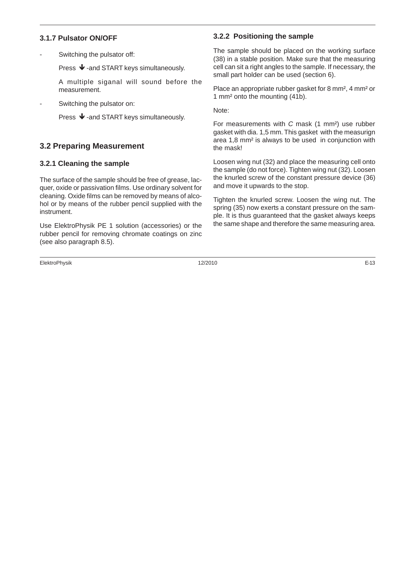#### **3.1.7 Pulsator ON/OFF**

Switching the pulsator off:

Press  $\blacklozenge$  -and START keys simultaneously.

A multiple siganal will sound before the measurement.

Switching the pulsator on:

Press  $\blacklozenge$  -and START keys simultaneously.

#### **3.2 Preparing Measurement**

#### **3.2.1 Cleaning the sample**

The surface of the sample should be free of grease, lacquer, oxide or passivation films. Use ordinary solvent for cleaning. Oxide films can be removed by means of alcohol or by means of the rubber pencil supplied with the instrument.

Use ElektroPhysik PE 1 solution (accessories) or the rubber pencil for removing chromate coatings on zinc (see also paragraph 8.5).

ElektroPhysik 12/2010 E-13

#### **3.2.2 Positioning the sample**

The sample should be placed on the working surface (38) in a stable position. Make sure that the measuring cell can sit a right angles to the sample. If necessary, the small part holder can be used (section 6).

Place an appropriate rubber gasket for 8 mm², 4 mm² or 1 mm² onto the mounting (41b).

Note:

For measurements with C mask (1 mm²) use rubber gasket with dia. 1,5 mm. This gasket with the measurign area 1,8 mm² is always to be used in conjunction with the mask!

Loosen wing nut (32) and place the measuring cell onto the sample (do not force). Tighten wing nut (32). Loosen the knurled screw of the constant pressure device (36) and move it upwards to the stop.

Tighten the knurled screw. Loosen the wing nut. The spring (35) now exerts a constant pressure on the sample. It is thus guaranteed that the gasket always keeps the same shape and therefore the same measuring area.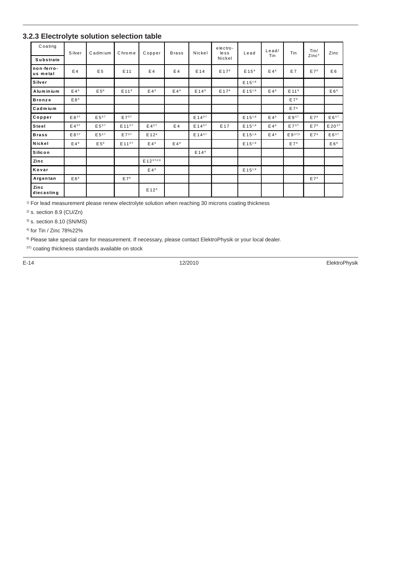#### **3.2.3 Electrolyte solution selection table**

| Coating                | Silver          | Cadmium           | Chrome                  | Copper            | <b>Brass</b>    | Nickel           | electro-<br>$les$ s | Lead                  | $L$ ead/<br>Tin | Tin               | Tin/<br>Zinc <sup>4</sup> | Zinc                    |
|------------------------|-----------------|-------------------|-------------------------|-------------------|-----------------|------------------|---------------------|-----------------------|-----------------|-------------------|---------------------------|-------------------------|
| <b>Substrate</b>       |                 |                   |                         |                   |                 |                  | Nickel              |                       |                 |                   |                           |                         |
| non-ferro-<br>us metal | E4              | E <sub>5</sub>    | E <sub>11</sub>         | E4                | E4              | E 14             | E 17 <sup>8</sup>   | $E$ 15 $8$            | $E4^8$          | E7                | E7 <sup>8</sup>           | E <sub>6</sub>          |
| Silver                 |                 |                   |                         |                   |                 |                  |                     | $E$ 15 <sup>1;8</sup> |                 |                   |                           |                         |
| Aluminium              | E4 <sup>8</sup> | E 5 <sup>8</sup>  | E 11 <sup>8</sup>       | E4 <sup>8</sup>   | E4 <sup>8</sup> | E14 <sup>8</sup> | E 17 <sup>8</sup>   | E 151;8               | E4 <sup>8</sup> | E 11 <sup>8</sup> |                           | E6 <sup>8</sup>         |
| <b>Bronze</b>          | E8 <sup>8</sup> |                   |                         |                   |                 |                  |                     |                       |                 | E7 <sup>8</sup>   |                           |                         |
| Cadmium                |                 |                   |                         |                   |                 |                  |                     |                       |                 | E7 <sup>8</sup>   |                           |                         |
| Copper                 | $E8^{ST}$       | $E5^{ST}$         | $E7^{ST}$               |                   |                 | $E14^{ST}$       |                     | $E$ 15 <sup>1;8</sup> | $E4^8$          | $E9^{ST}$         | E7 <sup>8</sup>           | $E6^{ST}$               |
| Steel                  | $E4^{ST}$       | E 5 <sup>ST</sup> | $E$ 11 $S$ <sup>T</sup> | $E4^{ST}$         | E4              | $E14^{ST}$       | E 17                | $E$ 15 <sup>1;8</sup> | E4 <sup>8</sup> | $E7^{ST}$         | E7 <sup>8</sup>           | $E$ 20 $S$ <sup>T</sup> |
| <b>Brass</b>           | $E8^{ST}$       | $E5^{ST}$         | $E7^{ST}$               | E 12 <sup>8</sup> |                 | $E14^{ST}$       |                     | E 15 <sup>1;8</sup>   | $E4^8$          | $E 9^{S T;3}$     | E7 <sup>8</sup>           | $E 6^{ST}$              |
| Nickel                 | $E4^8$          | E 5 <sup>8</sup>  | $E11^{ST}$              | $E4^8$            | $E4^8$          |                  |                     | $E 15^{1,8}$          |                 | E7 <sup>8</sup>   |                           | E6 <sup>8</sup>         |
| Silicon                |                 |                   |                         |                   |                 | $E14^8$          |                     |                       |                 |                   |                           |                         |
| Zinc                   |                 |                   |                         | E 12 ST;2;8       |                 |                  |                     |                       |                 |                   |                           |                         |
| Kovar                  |                 |                   |                         | $E4^8$            |                 |                  |                     | $E$ 15 <sup>1;8</sup> |                 |                   |                           |                         |
| Argentan               | E8 <sup>8</sup> |                   | $E7^8$                  |                   |                 |                  |                     |                       |                 |                   | E7 <sup>8</sup>           |                         |
| Zinc<br>diecasting     |                 |                   |                         | E12 <sup>8</sup>  |                 |                  |                     |                       |                 |                   |                           |                         |

<sup>1)</sup> For lead measurement please renew electrolyte solution when reaching 30 microns coating thickness

2) s. section 8.9 (CU/Zn)

3) s. section 8.10 (SN/MS)

4) for Tin / Zinc 78%22%

8) Please take special care for measurement. If necessary, please contact ElektroPhysik or your local dealer.

 $\mathbf{S}^{\text{ST}}$ ) coating thickness standards available on stock

E-14 12/2010 ElektroPhysik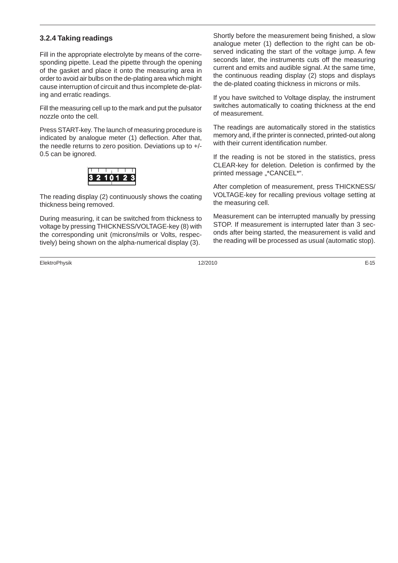#### **3.2.4 Taking readings**

Fill in the appropriate electrolyte by means of the corresponding pipette. Lead the pipette through the opening of the gasket and place it onto the measuring area in order to avoid air bulbs on the de-plating area which might cause interruption of circuit and thus incomplete de-plating and erratic readings.

Fill the measuring cell up to the mark and put the pulsator nozzle onto the cell.

Press START-key. The launch of measuring procedure is indicated by analogue meter (1) deflection. After that, the needle returns to zero position. Deviations up to +/- 0.5 can be ignored.



The reading display (2) continuously shows the coating thickness being removed.

During measuring, it can be switched from thickness to voltage by pressing THICKNESS/VOLTAGE-key (8) with the corresponding unit (microns/mils or Volts, respectively) being shown on the alpha-numerical display (3).

ElektroPhysik 12/2010 E-15

Shortly before the measurement being finished, a slow analogue meter (1) deflection to the right can be observed indicating the start of the voltage jump. A few seconds later, the instruments cuts off the measuring current and emits and audible signal. At the same time, the continuous reading display (2) stops and displays the de-plated coating thickness in microns or mils.

If you have switched to Voltage display, the instrument switches automatically to coating thickness at the end of measurement.

The readings are automatically stored in the statistics memory and, if the printer is connected, printed-out along with their current identification number.

If the reading is not be stored in the statistics, press CLEAR-key for deletion. Deletion is confirmed by the printed message "\*CANCEL\*".

After completion of measurement, press THICKNESS/ VOLTAGE-key for recalling previous voltage setting at the measuring cell.

Measurement can be interrupted manually by pressing STOP. If measurement is interrupted later than 3 seconds after being started, the measurement is valid and the reading will be processed as usual (automatic stop).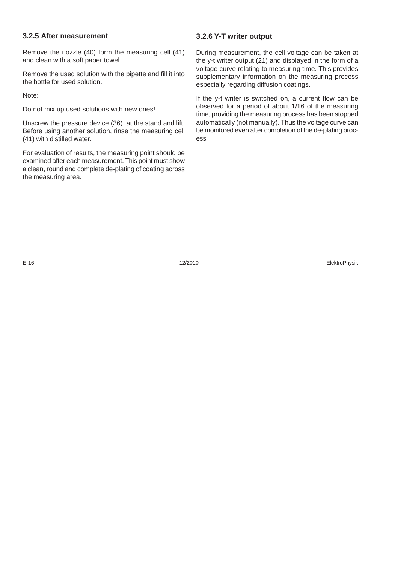#### **3.2.5 After measurement**

Remove the nozzle (40) form the measuring cell (41) and clean with a soft paper towel.

Remove the used solution with the pipette and fill it into the bottle for used solution.

Note:

Do not mix up used solutions with new ones!

Unscrew the pressure device (36) at the stand and lift. Before using another solution, rinse the measuring cell (41) with distilled water.

For evaluation of results, the measuring point should be examined after each measurement. This point must show a clean, round and complete de-plating of coating across the measuring area.

#### **3.2.6 Y-T writer output**

During measurement, the cell voltage can be taken at the y-t writer output (21) and displayed in the form of a voltage curve relating to measuring time. This provides supplementary information on the measuring process especially regarding diffusion coatings.

If the y-t writer is switched on, a current flow can be observed for a period of about 1/16 of the measuring time, providing the measuring process has been stopped automatically (not manually). Thus the voltage curve can be monitored even after completion of the de-plating process.

E-16 12/2010 ElektroPhysik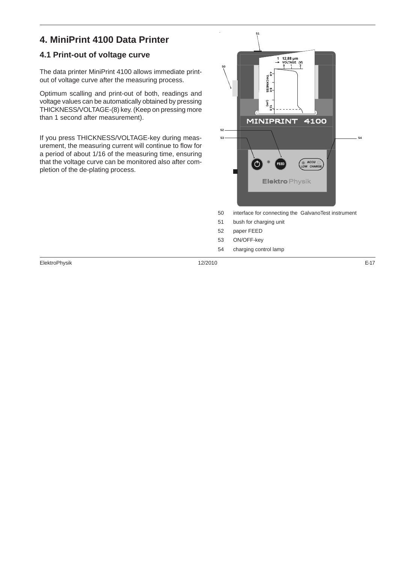#### **4. MiniPrint 4100 Data Printer**

#### **4.1 Print-out of voltage curve**

The data printer MiniPrint 4100 allows immediate printout of voltage curve after the measuring process.

Optimum scalling and print-out of both, readings and voltage values can be automatically obtained by pressing THICKNESS/VOLTAGE-(8) key. (Keep on pressing more than 1 second after measurement).

If you press THICKNESS/VOLTAGE-key during measurement, the measuring current will continue to flow for a period of about 1/16 of the measuring time, ensuring that the voltage curve can be monitored also after completion of the de-plating process.



- 53 ON/OFF-key
	-
- 54 charging control lamp

ElektroPhysik 12/2010 E-17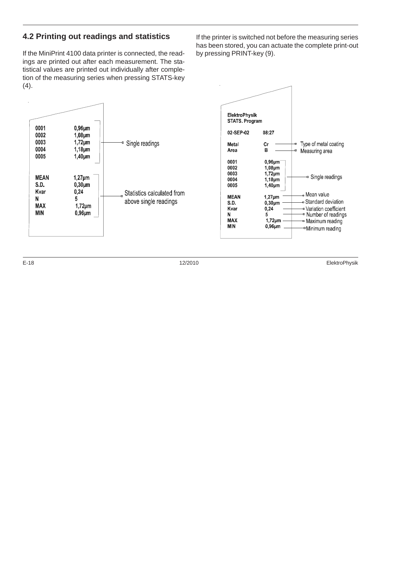#### **4.2 Printing out readings and statistics**

If the MiniPrint 4100 data printer is connected, the readings are printed out after each measurement. The statistical values are printed out individually after completion of the measuring series when pressing STATS-key (4).

If the printer is switched not before the measuring series has been stored, you can actuate the complete print-out by pressing PRINT-key (9).



E-18 12/2010 ElektroPhysik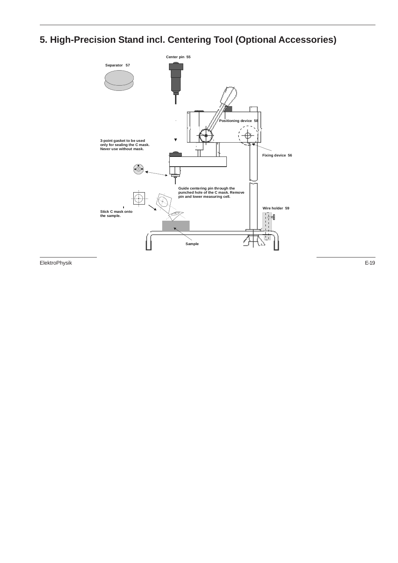### **5. High-Precision Stand incl. Centering Tool (Optional Accessories)**



ElektroPhysik 12/2010 E-19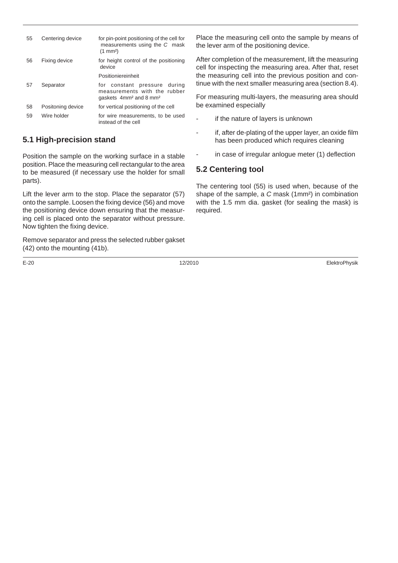| 55 | Centering device  | for pin-point positioning of the cell for<br>measurements using the C mask<br>$(1 \text{ mm}^2)$               |
|----|-------------------|----------------------------------------------------------------------------------------------------------------|
| 56 | Fixing device     | for height control of the positioning<br>device                                                                |
|    |                   | Positioniereinheit                                                                                             |
| 57 | Separator         | for constant pressure during<br>measurements with the rubber<br>gaskets 4mm <sup>2</sup> and 8 mm <sup>2</sup> |
| 58 | Positoning device | for vertical positioning of the cell                                                                           |
| 59 | Wire holder       | for wire measurements, to be used<br>instead of the cell                                                       |

#### **5.1 High-precision stand**

Position the sample on the working surface in a stable position. Place the measuring cell rectangular to the area to be measured (if necessary use the holder for small parts).

Lift the lever arm to the stop. Place the separator (57) onto the sample. Loosen the fixing device (56) and move the positioning device down ensuring that the measuring cell is placed onto the separator without pressure. Now tighten the fixing device.

Remove separator and press the selected rubber gakset (42) onto the mounting (41b).

E-20 12/2010 ElektroPhysik

Place the measuring cell onto the sample by means of the lever arm of the positioning device.

After completion of the measurement, lift the measuring cell for inspecting the measuring area. After that, reset the measuring cell into the previous position and continue with the next smaller measuring area (section 8.4).

For measuring multi-layers, the measuring area should be examined especially

- if the nature of layers is unknown
- if, after de-plating of the upper layer, an oxide film has been produced which requires cleaning
- in case of irregular anlogue meter (1) deflection

#### **5.2 Centering tool**

The centering tool (55) is used when, because of the shape of the sample, a C mask (1mm²) in combination with the 1.5 mm dia. gasket (for sealing the mask) is required.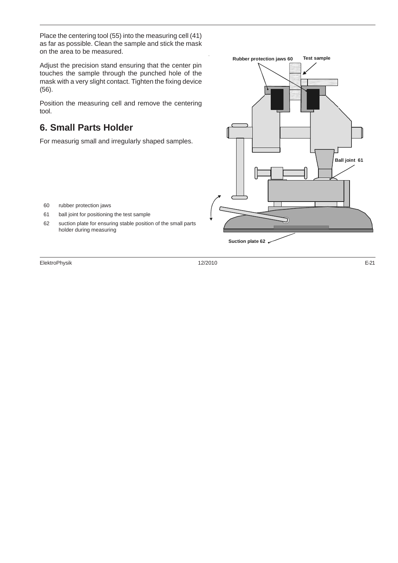Place the centering tool (55) into the measuring cell (41) as far as possible. Clean the sample and stick the mask on the area to be measured.

Adjust the precision stand ensuring that the center pin touches the sample through the punched hole of the mask with a very slight contact. Tighten the fixing device (56).

Position the measuring cell and remove the centering tool.

#### **6. Small Parts Holder**

For measurig small and irregularly shaped samples.



- 60 rubber protection jaws
- 61 ball joint for positioning the test sample
- 62 suction plate for ensuring stable position of the small parts holder during measuring

ElektroPhysik 12/2010 E-21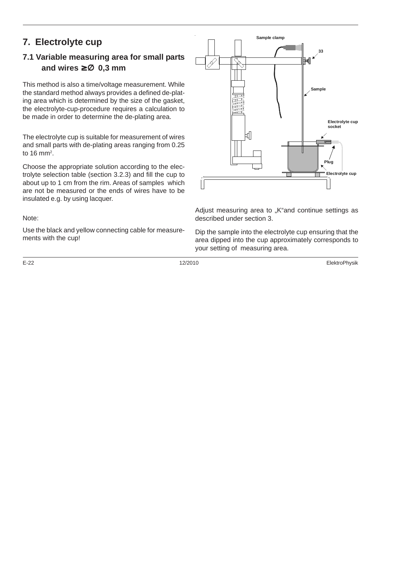#### **7. Electrolyte cup**

#### **7.1 Variable measuring area for small parts and wires** ≥ ∅ **0,3 mm**

This method is also a time/voltage measurement. While the standard method always provides a defined de-plating area which is determined by the size of the gasket, the electrolyte-cup-procedure requires a calculation to be made in order to determine the de-plating area.

The electrolyte cup is suitable for measurement of wires and small parts with de-plating areas ranging from 0.25 to 16 mm<sup>2</sup>.

Choose the appropriate solution according to the electrolyte selection table (section 3.2.3) and fill the cup to about up to 1 cm from the rim. Areas of samples which are not be measured or the ends of wires have to be insulated e.g. by using lacquer.

#### Note:

Use the black and yellow connecting cable for measurements with the cup!



Adjust measuring area to "K"and continue settings as described under section 3.

Dip the sample into the electrolyte cup ensuring that the area dipped into the cup approximately corresponds to your setting of measuring area.

E-22 12/2010 ElektroPhysik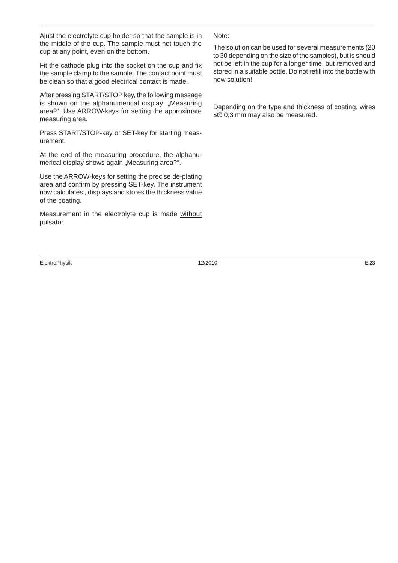Ajust the electrolyte cup holder so that the sample is in the middle of the cup. The sample must not touch the cup at any point, even on the bottom.

Fit the cathode plug into the socket on the cup and fix the sample clamp to the sample. The contact point must be clean so that a good electrical contact is made.

After pressing START/STOP key, the following message is shown on the alphanumerical display: "Measuring area?". Use ARROW-keys for setting the approximate measuring area.

Press START/STOP-key or SET-key for starting measurement.

At the end of the measuring procedure, the alphanumerical display shows again "Measuring area?".

Use the ARROW-keys for setting the precise de-plating area and confirm by pressing SET-key. The instrument now calculates , displays and stores the thickness value of the coating.

Measurement in the electrolyte cup is made without pulsator.

#### ElektroPhysik 12/2010 E-23

#### Note:

The solution can be used for several measurements (20 to 30 depending on the size of the samples), but is should not be left in the cup for a longer time, but removed and stored in a suitable bottle. Do not refill into the bottle with new solution!

Depending on the type and thickness of coating, wires ≤∅ 0,3 mm may also be measured.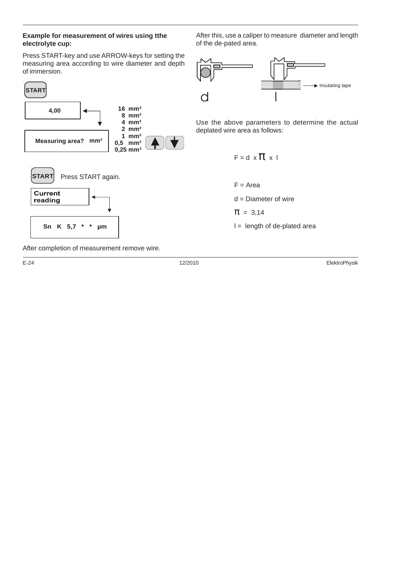#### **Example for measurement of wires using tthe electrolyte cup:**

Press START-key and use ARROW-keys for setting the measuring area according to wire diameter and depth of immersion.



After this, use a caliper to measure diameter and length of the de-pated area.



Use the above parameters to determine the actual deplated wire area as follows:

$$
F = d \times T \times I
$$
\n
$$
F = \text{Area}
$$
\n
$$
d = \text{Diameter of wire}
$$
\n
$$
T = 3,14
$$
\n
$$
I = \text{length of de-plated area}
$$

After completion of measurement remove wire.

E-24 12/2010 ElektroPhysik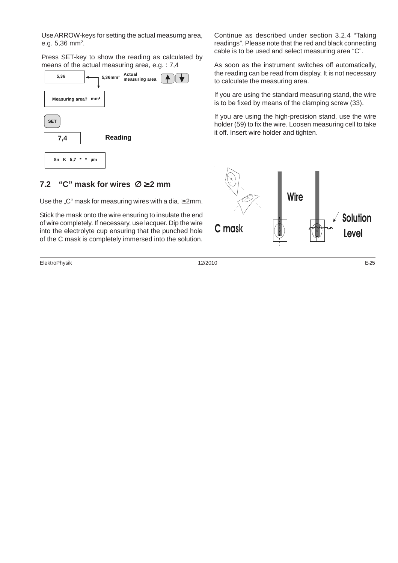Use ARROW-keys for setting the actual measurng area, e.g.  $5,36 \text{ mm}^2$ .

Press SET-key to show the reading as calculated by means of the actual measuring area, e.g. : 7,4



#### **7.2 "C" mask for wires** ∅ ≥ **2 mm**

Use the "C" mask for measuring wires with a dia.  $\geq 2$ mm.

Stick the mask onto the wire ensuring to insulate the end of wire completely. If necessary, use lacquer. Dip the wire into the electrolyte cup ensuring that the punched hole of the C mask is completely immersed into the solution.

ElektroPhysik 12/2010 E-25

Continue as described under section 3.2.4 "Taking readings". Please note that the red and black connecting cable is to be used and select measuring area "C".

As soon as the instrument switches off automatically, the reading can be read from display. It is not necessary to calculate the measuring area.

If you are using the standard measuring stand, the wire is to be fixed by means of the clamping screw (33).

If you are using the high-precision stand, use the wire holder (59) to fix the wire. Loosen measuring cell to take it off. Insert wire holder and tighten.

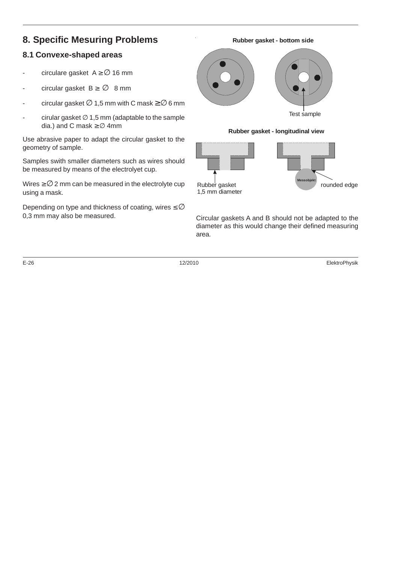#### **8. Specific Mesuring Problems**

#### **8.1 Convexe-shaped areas**

- circulare gasket  $A \geq \emptyset$  16 mm
- circular gasket  $B \geq \emptyset$  8 mm
- circular gasket  $\varnothing$  1,5 mm with C mask  $\geq$   $\varnothing$  6 mm
- cirular gasket  $\varnothing$  1,5 mm (adaptable to the sample dia.) and C mask  $\geq$  Ø 4mm

Use abrasive paper to adapt the circular gasket to the geometry of sample.

Samples swith smaller diameters such as wires should be measured by means of the electrolyet cup.

Wires  $\geq$   $\varnothing$  2 mm can be measured in the electrolyte cup using a mask.

Depending on type and thickness of coating, wires  $\leq \emptyset$ <br>0,3 mm may also be measured.

# Test sample **Rubber gasket - bottom side Rubber gasket - longitudinal view**

Circular gaskets A and B should not be adapted to the diameter as this would change their defined measuring area.

Rubber gasket **rounded** edge

**Messobjekt**

1,5 mm diameter

E-26 12/2010 ElektroPhysik

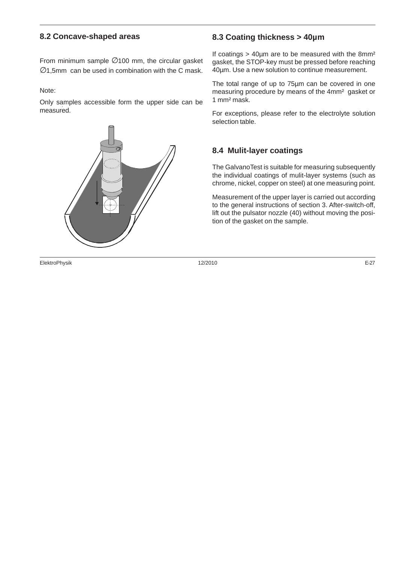#### **8.2 Concave-shaped areas**

From minimum sample ∅100 mm, the circular gasket  $\varnothing$ 1.5mm can be used in combination with the C mask.

Note:

Only samples accessible form the upper side can be measured.



ElektroPhysik 12/2010 E-27

#### **8.3 Coating thickness > 40µm**

If coatings  $>$  40 $\mu$ m are to be measured with the 8mm<sup>2</sup> gasket, the STOP-key must be pressed before reaching 40µm. Use a new solution to continue measurement.

The total range of up to 75µm can be covered in one measuring procedure by means of the 4mm² gasket or 1 mm² mask.

For exceptions, please refer to the electrolyte solution selection table.

#### **8.4 Mulit-layer coatings**

The GalvanoTest is suitable for measuring subsequently the individual coatings of mulit-layer systems (such as chrome, nickel, copper on steel) at one measuring point.

Measurement of the upper layer is carried out according to the general instructions of section 3. After-switch-off, lift out the pulsator nozzle (40) without moving the position of the gasket on the sample.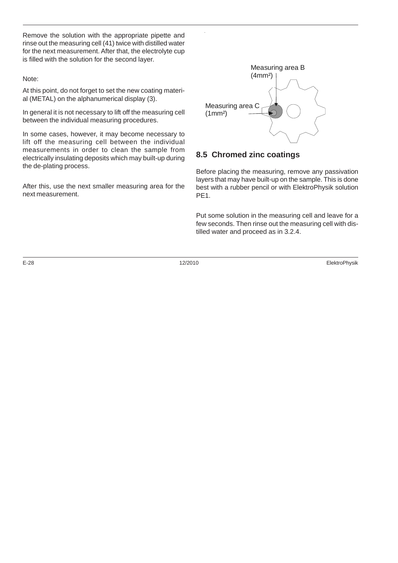Remove the solution with the appropriate pipette and rinse out the measuring cell (41) twice with distilled water for the next measurement. After that, the electrolyte cup is filled with the solution for the second layer.

#### Note:

At this point, do not forget to set the new coating material (METAL) on the alphanumerical display (3).

In general it is not necessary to lift off the measuring cell between the individual measuring procedures.

In some cases, however, it may become necessary to lift off the measuring cell between the individual measurements in order to clean the sample from electrically insulating deposits which may built-up during the de-plating process.

After this, use the next smaller measuring area for the next measurement.



#### **8.5 Chromed zinc coatings**

Before placing the measuring, remove any passivation layers that may have built-up on the sample. This is done best with a rubber pencil or with ElektroPhysik solution PE<sub>1</sub>.

Put some solution in the measuring cell and leave for a few seconds. Then rinse out the measuring cell with distilled water and proceed as in 3.2.4.

E-28 12/2010 ElektroPhysik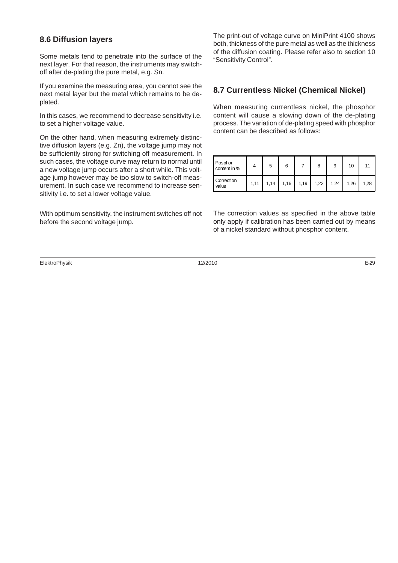#### **8.6 Diffusion layers**

Some metals tend to penetrate into the surface of the next layer. For that reason, the instruments may switchoff after de-plating the pure metal, e.g. Sn.

If you examine the measuring area, you cannot see the next metal layer but the metal which remains to be deplated.

In this cases, we recommend to decrease sensitivity i.e. to set a higher voltage value.

On the other hand, when measuring extremely distinctive diffusion layers (e.g. Zn), the voltage jump may not be sufficiently strong for switching off measurement. In such cases, the voltage curve may return to normal until a new voltage jump occurs after a short while. This voltage jump however may be too slow to switch-off measurement. In such case we recommend to increase sensitivity i.e. to set a lower voltage value.

With optimum sensitivity, the instrument switches off not before the second voltage jump.

The print-out of voltage curve on MiniPrint 4100 shows both, thickness of the pure metal as well as the thickness of the diffusion coating. Please refer also to section 10 "Sensitivity Control".

#### **8.7 Currentless Nickel (Chemical Nickel)**

When measuring currentless nickel, the phosphor content will cause a slowing down of the de-plating process. The variation of de-plating speed with phosphor content can be described as follows:

| Posphor<br>content in % |      | 5    | 6    | 8             | 9    | 10   |      |
|-------------------------|------|------|------|---------------|------|------|------|
| Correction<br>value     | 1,11 | 1,14 | 1,16 | $1,19$ $1,22$ | 1,24 | 1,26 | 1,28 |

The correction values as specified in the above table only apply if calibration has been carried out by means of a nickel standard without phosphor content.

ElektroPhysik 12/2010 E-29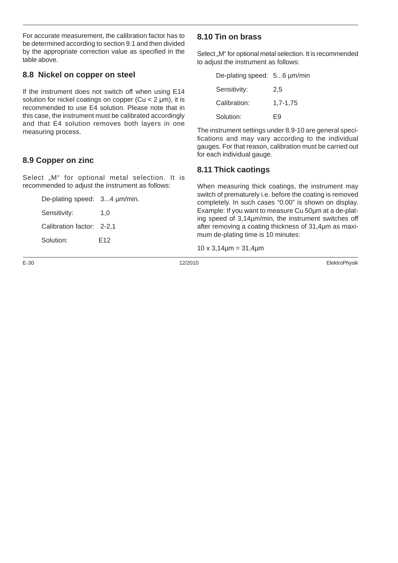For accurate measurement, the calibration factor has to be determined according to section 9.1 and then divided by the appropriate correction value as specified in the table above.

#### **8.8 Nickel on copper on steel**

If the instrument does not switch off when using E14 solution for nickel coatings on copper (Cu < 2 um), it is recommended to use E4 solution. Please note that in this case, the instrument must be calibrated accordingly and that E4 solution removes both layers in one measuring process.

#### **8.9 Copper on zinc**

Select "M" for optional metal selection. It is recommended to adjust the instrument as follows:

| De-plating speed: 34 µm/min. |                 |
|------------------------------|-----------------|
| Sensitivity:                 | 1.0             |
| Calibration factor: 2-2,1    |                 |
| Solution:                    | F <sub>12</sub> |

#### **8.10 Tin on brass**

Select "M" for optional metal selection. It is recommended to adjust the instrument as follows:

| De-plating speed: 56 µm/min |          |
|-----------------------------|----------|
| Sensitivity:                | 2,5      |
| Calibration:                | 1.7-1.75 |
| Solution:                   | F9       |
|                             |          |

The instrument settings under 8.9-10 are general specifications and may vary according to the individual gauges. For that reason, calibration must be carried out for each individual gauge.

#### **8.11 Thick caotings**

When measuring thick coatings, the instrument may switch of prematurely i.e. before the coating is removed completely. In such cases "0.00" is shown on display. Example: If you want to measure Cu 50µm at a de-plating speed of 3,14µm/min, the instrument switches off after removing a coating thickness of 31,4µm as maximum de-plating time is 10 minutes:

 $10 \times 3,14 \mu m = 31,4 \mu m$ 

E-30 12/2010 ElektroPhysik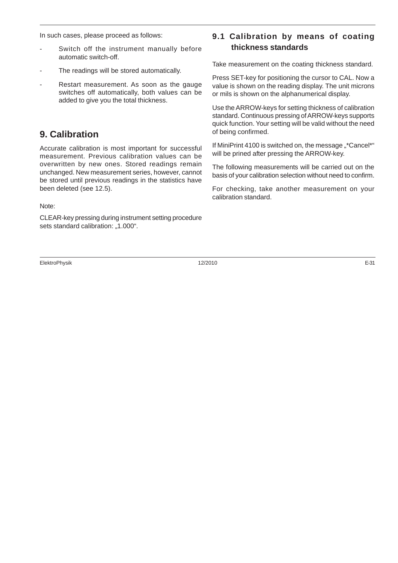In such cases, please proceed as follows:

- Switch off the instrument manually before automatic switch-off.
- The readings will be stored automatically.
- Restart measurement. As soon as the gauge switches off automatically, both values can be added to give you the total thickness.

#### **9. Calibration**

Accurate calibration is most important for successful measurement. Previous calibration values can be overwritten by new ones. Stored readings remain unchanged. New measurement series, however, cannot be stored until previous readings in the statistics have been deleted (see 12.5).

Note:

CLEAR-key pressing during instrument setting procedure sets standard calibration: "1.000".

ElektroPhysik 12/2010 E-31

#### **9.1 Calibration by means of coating thickness standards**

Take measurement on the coating thickness standard.

Press SET-key for positioning the cursor to CAL. Now a value is shown on the reading display. The unit microns or mils is shown on the alphanumerical display.

Use the ARROW-keys for setting thickness of calibration standard. Continuous pressing of ARROW-keys supports quick function. Your setting will be valid without the need of being confirmed.

If MiniPrint 4100 is switched on, the message "\*Cancel\*" will be prined after pressing the ARROW-key.

The following measurements will be carried out on the basis of your calibration selection without need to confirm.

For checking, take another measurement on your calibration standard.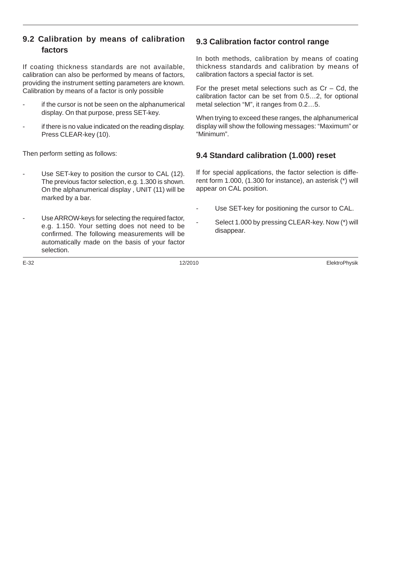#### **9.2 Calibration by means of calibration factors**

If coating thickness standards are not available, calibration can also be performed by means of factors, providing the instrument setting parameters are known. Calibration by means of a factor is only possible

- if the cursor is not be seen on the alphanumerical display. On that purpose, press SET-key.
- if there is no value indicated on the reading display. Press CLEAR-key (10).

Then perform setting as follows:

- Use SET-key to position the cursor to CAL (12). The previous factor selection, e.g. 1.300 is shown. On the alphanumerical display , UNIT (11) will be marked by a bar.
- Use ARROW-keys for selecting the required factor, e.g. 1.150. Your setting does not need to be confirmed. The following measurements will be automatically made on the basis of your factor selection.

#### **9.3 Calibration factor control range**

In both methods, calibration by means of coating thickness standards and calibration by means of calibration factors a special factor is set.

For the preset metal selections such as  $Cr - Cd$ , the calibration factor can be set from 0.5…2, for optional metal selection "M", it ranges from 0.2…5.

When trying to exceed these ranges, the alphanumerical display will show the following messages: "Maximum" or "Minimum".

#### **9.4 Standard calibration (1.000) reset**

If for special applications, the factor selection is different form 1.000, (1.300 for instance), an asterisk (\*) will appear on CAL position.

- Use SET-key for positioning the cursor to CAL.
	- Select 1.000 by pressing CLEAR-key. Now (\*) will disappear.

E-32 12/2010 ElektroPhysik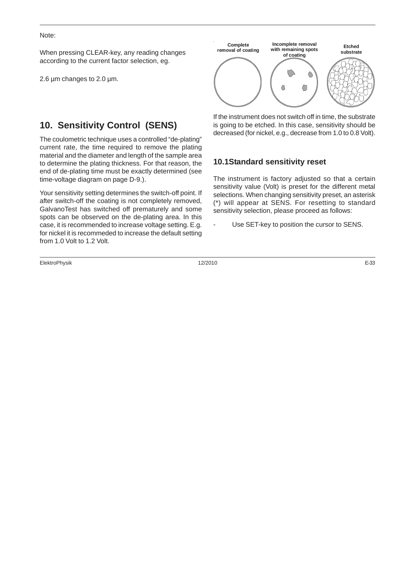#### Note:

When pressing CLEAR-key, any reading changes according to the current factor selection, eg.

2.6 um changes to 2.0 um.

#### **10. Sensitivity Control (SENS)**

The coulometric technique uses a controlled "de-plating" current rate, the time required to remove the plating material and the diameter and length of the sample area to determine the plating thickness. For that reason, the end of de-plating time must be exactly determined (see time-voltage diagram on page D-9.).

Your sensitivity setting determines the switch-off point. If after switch-off the coating is not completely removed, GalvanoTest has switched off prematurely and some spots can be observed on the de-plating area. In this case, it is recommended to increase voltage setting. E.g. for nickel it is recommeded to increase the default setting from 1.0 Volt to 1.2 Volt.

ElektroPhysik 12/2010 E-33



If the instrument does not switch off in time, the substrate is going to be etched. In this case, sensitivity should be decreased (for nickel, e.g., decrease from 1.0 to 0.8 Volt).

#### **10.1Standard sensitivity reset**

The instrument is factory adjusted so that a certain sensitivity value (Volt) is preset for the different metal selections. When changing sensitivity preset, an asterisk (\*) will appear at SENS. For resetting to standard sensitivity selection, please proceed as follows:

Use SET-key to position the cursor to SENS.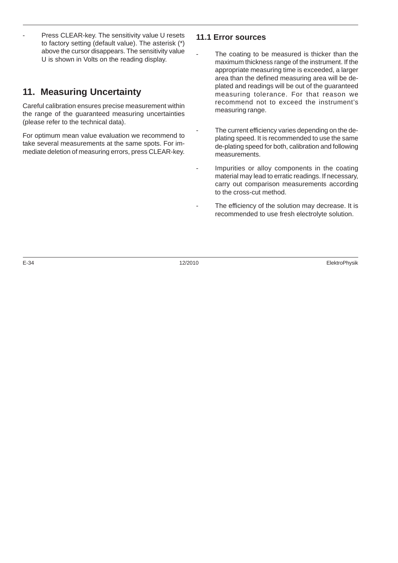Press CLEAR-key. The sensitivity value U resets to factory setting (default value). The asterisk (\*) above the cursor disappears. The sensitivity value U is shown in Volts on the reading display.

#### **11. Measuring Uncertainty**

Careful calibration ensures precise measurement within the range of the guaranteed measuring uncertainties (please refer to the technical data).

For optimum mean value evaluation we recommend to take several measurements at the same spots. For immediate deletion of measuring errors, press CLEAR-key.

#### **11.1 Error sources**

- The coating to be measured is thicker than the maximum thickness range of the instrument. If the appropriate measuring time is exceeded, a larger area than the defined measuring area will be deplated and readings will be out of the guaranteed measuring tolerance. For that reason we recommend not to exceed the instrument's measuring range.
- The current efficiency varies depending on the deplating speed. It is recommended to use the same de-plating speed for both, calibration and following measurements.
- Impurities or alloy components in the coating material may lead to erratic readings. If necessary, carry out comparison measurements according to the cross-cut method.
- The efficiency of the solution may decrease. It is recommended to use fresh electrolyte solution.

E-34 12/2010 ElektroPhysik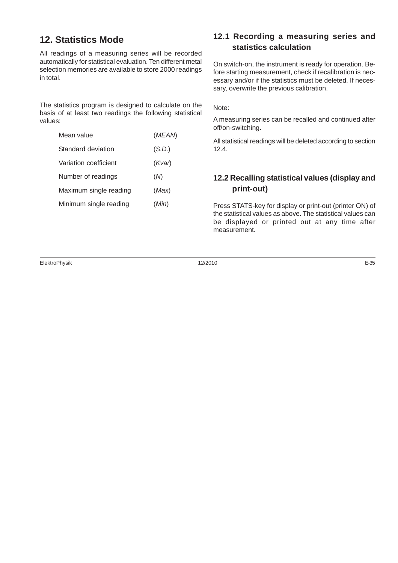#### **12. Statistics Mode**

All readings of a measuring series will be recorded automatically for statistical evaluation. Ten different metal selection memories are available to store 2000 readings in total.

The statistics program is designed to calculate on the basis of at least two readings the following statistical values:

| Mean value             | (MEAN) |
|------------------------|--------|
| Standard deviation     | (S.D.) |
| Variation coefficient  | (Kvar) |
| Number of readings     | (M)    |
| Maximum single reading | (Max)  |
| Minimum single reading | (Min)  |
|                        |        |

#### **12.1 Recording a measuring series and statistics calculation**

On switch-on, the instrument is ready for operation. Before starting measurement, check if recalibration is necessary and/or if the statistics must be deleted. If necessary, overwrite the previous calibration.

Note:

A measuring series can be recalled and continued after off/on-switching.

All statistical readings will be deleted according to section 12.4.

#### **12.2 Recalling statistical values (display and print-out)**

Press STATS-key for display or print-out (printer ON) of the statistical values as above. The statistical values can be displayed or printed out at any time after measurement.

ElektroPhysik 12/2010 E-35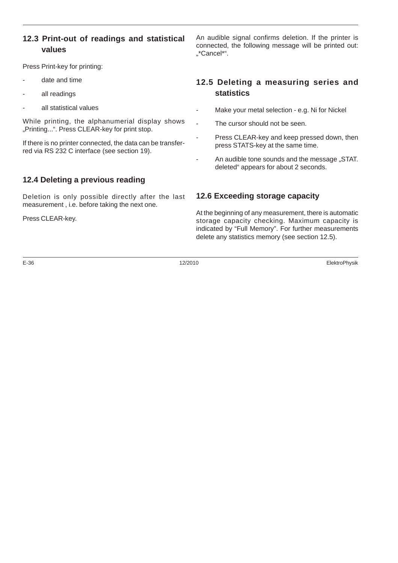#### **12.3 Print-out of readings and statistical values**

Press Print-key for printing:

- date and time
- all readings
- all statistical values

While printing, the alphanumerial display shows "Printing...". Press CLEAR-key for print stop.

If there is no printer connected, the data can be transferred via RS 232 C interface (see section 19).

#### **12.4 Deleting a previous reading**

Deletion is only possible directly after the last measurement , i.e. before taking the next one.

Press CLEAR-key.

An audible signal confirms deletion. If the printer is connected, the following message will be printed out: "\*Cancel\*".

#### **12.5 Deleting a measuring series and statistics**

- Make your metal selection e.g. Ni for Nickel
- The cursor should not be seen.
- Press CLEAR-key and keep pressed down, then press STATS-key at the same time.
- An audible tone sounds and the message "STAT. deleted" appears for about 2 seconds.

#### **12.6 Exceeding storage capacity**

At the beginning of any measurement, there is automatic storage capacity checking. Maximum capacity is indicated by "Full Memory". For further measurements delete any statistics memory (see section 12.5).

E-36 12/2010 ElektroPhysik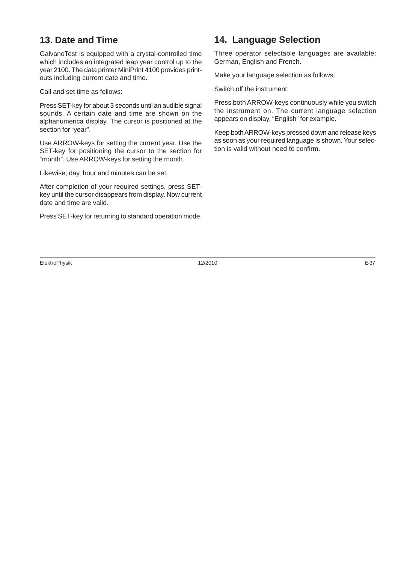#### **13. Date and Time**

GalvanoTest is equipped with a crystal-controlled time which includes an integrated leap year control up to the year 2100. The data printer MiniPrint 4100 provides printouts including current date and time.

Call and set time as follows:

Press SET-key for about 3 seconds until an audible signal sounds. A certain date and time are shown on the alphanumerica display. The cursor is positioned at the section for "year".

Use ARROW-keys for setting the current year. Use the SET-key for positioning the cursor to the section for "month". Use ARROW-keys for setting the month.

Likewise, day, hour and minutes can be set.

After completion of your required settings, press SETkey until the cursor disappears from display. Now current date and time are valid.

Press SET-key for returning to standard operation mode.

#### **14. Language Selection**

Three operator selectable languages are available: German, English and French.

Make your language selection as follows:

Switch off the instrument.

Press both ARROW-keys continuously while you switch the instrument on. The current language selection appears on display, "English" for example.

Keep both ARROW-keys pressed down and release keys as soon as your required language is shown. Your selection is valid without need to confirm.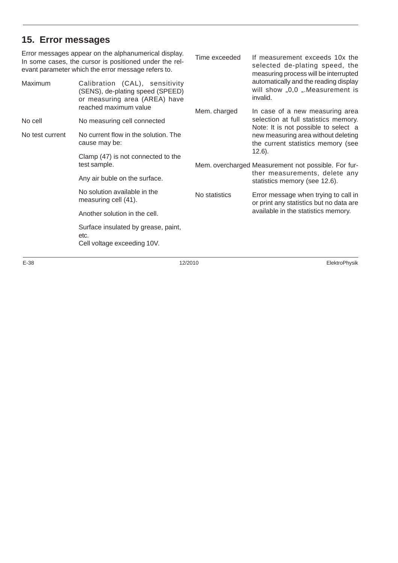#### **15. Error messages**

Error messages appear on the alphanumerical display. In some cases, the cursor is positioned under the relevant parameter which the error message refers to. Maximum Calibration (CAL), sensitivity (SENS), de-plating speed (SPEED) or measuring area (AREA) have reached maximum value No cell Mo measuring cell connected No test current No current flow in the solution. The cause may be: Clamp (47) is not connected to the test sample. Any air buble on the surface. No solution available in the measuring cell (41). Another solution in the cell. Surface insulated by grease, paint, etc. Cell voltage exceeding 10V. Time exceeded If measurement exceeds 10x the selected de-plating speed, the measuring process will be interrupted automatically and the reading display will show  $,0,0$   $,$  Measurement is invalid. Mem. charged In case of a new measuring area selection at full statistics memory. Note: It is not possible to select a new measuring area without deleting the current statistics memory (see 12.6). Mem. overcharged Measurement not possible. For further measurements, delete any statistics memory (see 12.6). No statistics Error message when trying to call in or print any statistics but no data are available in the statistics memory.

E-38 12/2010 ElektroPhysik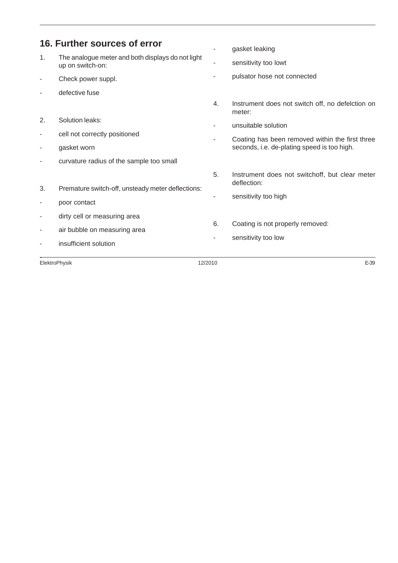| 16. Further sources of error |                                                                       |    | gasket leaking                                                |  |
|------------------------------|-----------------------------------------------------------------------|----|---------------------------------------------------------------|--|
| 1.                           | The analogue meter and both displays do not light<br>up on switch-on: | ٠  | sensitivity too lowt                                          |  |
|                              | Check power suppl.                                                    |    | pulsator hose not connected                                   |  |
|                              | defective fuse                                                        |    |                                                               |  |
|                              |                                                                       | 4. | Instrument does not switch off, no defelction on<br>meter:    |  |
| 2.                           | Solution leaks:                                                       |    | unsuitable solution                                           |  |
| ٠                            | cell not correctly positioned                                         |    | Coating has been removed within the first three               |  |
|                              | gasket worn                                                           |    | seconds, i.e. de-plating speed is too high.                   |  |
| ٠                            | curvature radius of the sample too small                              |    |                                                               |  |
|                              |                                                                       | 5. | Instrument does not switchoff, but clear meter<br>deflection: |  |
| 3.                           | Premature switch-off, unsteady meter deflections:                     | ٠  | sensitivity too high                                          |  |
| ٠                            | poor contact                                                          |    |                                                               |  |
| ٠                            | dirty cell or measuring area                                          |    |                                                               |  |
|                              | air bubble on measuring area                                          | 6. | Coating is not properly removed:                              |  |
|                              | insufficient solution                                                 |    | sensitivity too low                                           |  |

ElektroPhysik 12/2010 E-39 ElektroPhysik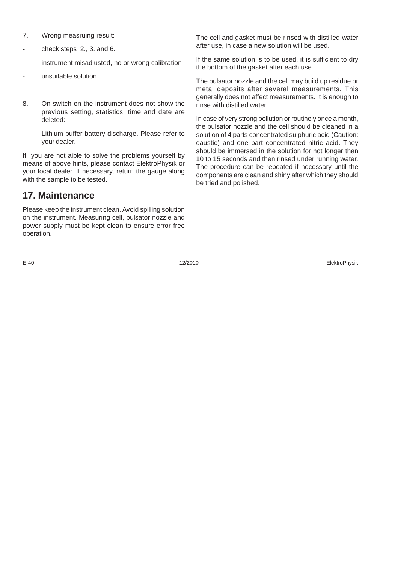- 7. Wrong measruing result:
- check steps 2., 3. and 6.
- instrument misadjusted, no or wrong calibration
- unsuitable solution
- 8. On switch on the instrument does not show the previous setting, statistics, time and date are deleted:
- Lithium buffer battery discharge. Please refer to your dealer.

If you are not aible to solve the problems yourself by means of above hints, please contact ElektroPhysik or your local dealer. If necessary, return the gauge along with the sample to be tested.

#### **17. Maintenance**

Please keep the instrument clean. Avoid spilling solution on the instrument. Measuring cell, pulsator nozzle and power supply must be kept clean to ensure error free operation.

E-40 12/2010 ElektroPhysik

The cell and gasket must be rinsed with distilled water after use, in case a new solution will be used.

If the same solution is to be used, it is sufficient to dry the bottom of the gasket after each use.

The pulsator nozzle and the cell may build up residue or metal deposits after several measurements. This generally does not affect measurements. It is enough to rinse with distilled water.

In case of very strong pollution or routinely once a month, the pulsator nozzle and the cell should be cleaned in a solution of 4 parts concentrated sulphuric acid (Caution: caustic) and one part concentrated nitric acid. They should be immersed in the solution for not longer than 10 to 15 seconds and then rinsed under running water. The procedure can be repeated if necessary until the components are clean and shiny after which they should be tried and polished.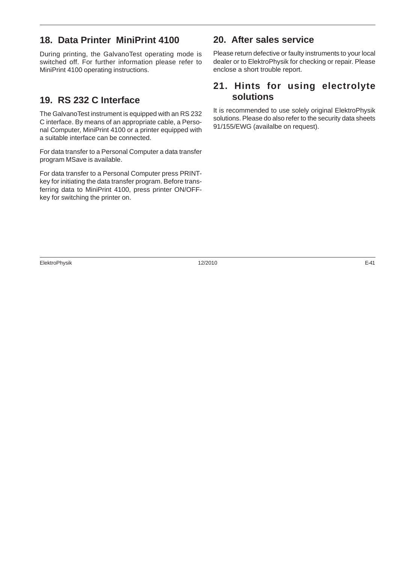#### **18. Data Printer MiniPrint 4100**

During printing, the GalvanoTest operating mode is switched off. For further information please refer to MiniPrint 4100 operating instructions.

#### **19. RS 232 C Interface**

The GalvanoTest instrument is equipped with an RS 232 C interface. By means of an appropriate cable, a Personal Computer, MiniPrint 4100 or a printer equipped with a suitable interface can be connected.

For data transfer to a Personal Computer a data transfer program MSave is available.

For data transfer to a Personal Computer press PRINTkey for initiating the data transfer program. Before transferring data to MiniPrint 4100, press printer ON/OFFkey for switching the printer on.

#### **20. After sales service**

Please return defective or faulty instruments to your local dealer or to ElektroPhysik for checking or repair. Please enclose a short trouble report.

#### **21. Hints for using electrolyte solutions**

It is recommended to use solely original ElektroPhysik solutions. Please do also refer to the security data sheets 91/155/EWG (availalbe on request).

ElektroPhysik 12/2010 E-41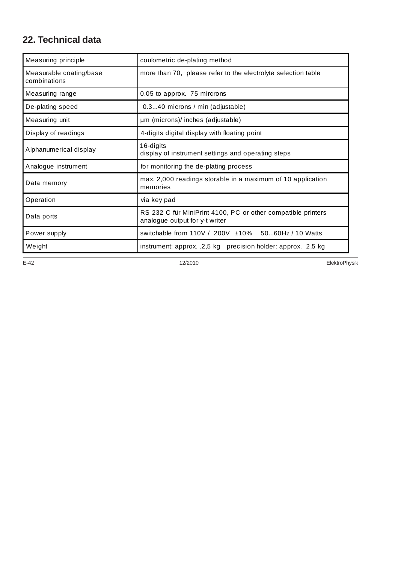#### **22. Technical data**

| Measuring principle                     | coulometric de-plating method                                                                  |  |
|-----------------------------------------|------------------------------------------------------------------------------------------------|--|
| Measurable coating/base<br>combinations | more than 70, please refer to the electrolyte selection table                                  |  |
| Measuring range                         | 0.05 to approx. 75 mircrons                                                                    |  |
| De-plating speed                        | 0.340 microns / min (adjustable)                                                               |  |
| Measuring unit                          | µm (microns)/ inches (adjustable)                                                              |  |
| Display of readings                     | 4-digits digital display with floating point                                                   |  |
| Alphanumerical display                  | 16-digits<br>display of instrument settings and operating steps                                |  |
| Analogue instrument                     | for monitoring the de-plating process                                                          |  |
| Data memory                             | max. 2,000 readings storable in a maximum of 10 application<br>memories                        |  |
| Operation                               | via key pad                                                                                    |  |
| Data ports                              | RS 232 C für MiniPrint 4100, PC or other compatible printers<br>analogue output for y-t writer |  |
| Power supply                            | switchable from $110V / 200V \pm 10\%$ 5060Hz / 10 Watts                                       |  |
| Weight                                  | instrument: approx. .2,5 kg precision holder: approx. 2,5 kg                                   |  |

E-42 12/2010 ElektroPhysik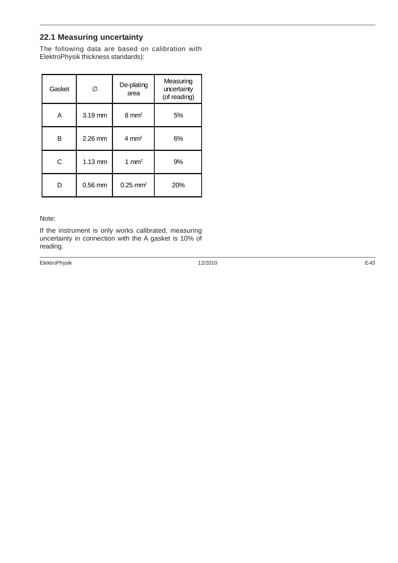#### **22.1 Measuring uncertainty**

The following data are based on calibration with ElektroPhysik thickness standards):

| Gasket | Ø                 | De-plating<br>area     | Measuring<br>uncertainty<br>(of reading) |
|--------|-------------------|------------------------|------------------------------------------|
| A      | 3.19 mm           | $8 \text{ mm}^2$       | 5%                                       |
| в      | 2.26 mm           | $4 \text{ mm}^2$       | 6%                                       |
| C      | $1.13 \text{ mm}$ | 1 mm <sup>2</sup>      | 9%                                       |
| D      | $0.56$ mm         | $0.25$ mm <sup>2</sup> | 20%                                      |

#### Note:

If the instrument is only works calibrated, measuring uncertainty in connection with the A gasket is 10% of reading.

ElektroPhysik 12/2010 E-43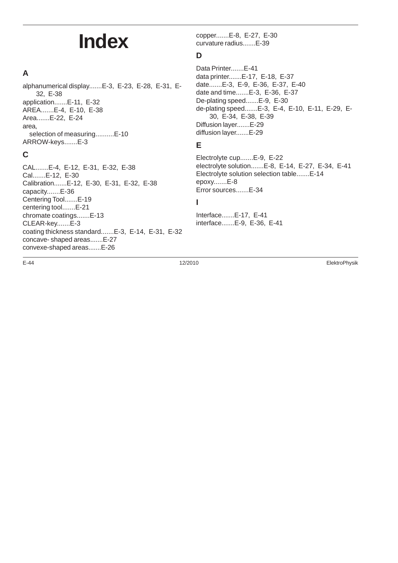## **Index**

#### **A**

alphanumerical display.......E-3, E-23, E-28, E-31, E-32, E-38 application.......E-11, E-32 AREA.......E-4, E-10, E-38 Area.......E-22, E-24 area, selection of measuring..........E-10 ARROW-keys.......E-3

#### **C**

CAL.......E-4, E-12, E-31, E-32, E-38 Cal.......E-12, E-30 Calibration.......E-12, E-30, E-31, E-32, E-38 capacity.......E-36 Centering Tool.......E-19 centering tool.......E-21 chromate coatings.......E-13 CLEAR-key.......E-3 coating thickness standard.......E-3, E-14, E-31, E-32 concave- shaped areas.......E-27 convexe-shaped areas.......E-26

copper.......E-8, E-27, E-30 curvature radius.......E-39

#### **D**

Data Printer.......E-41 data printer.......E-17, E-18, E-37 date.......E-3, E-9, E-36, E-37, E-40 date and time.......E-3, E-36, E-37 De-plating speed.......E-9, E-30 de-plating speed.......E-3, E-4, E-10, E-11, E-29, E-30, E-34, E-38, E-39 Diffusion layer.......E-29 diffusion layer.......E-29

#### **E**

Electrolyte cup.......E-9, E-22 electrolyte solution.......E-8, E-14, E-27, E-34, E-41 Electrolyte solution selection table.......E-14 epoxy.......E-8 Error sources.......E-34

#### **I**

Interface.......E-17, E-41 interface.......E-9, E-36, E-41

E-44 12/2010 ElektroPhysik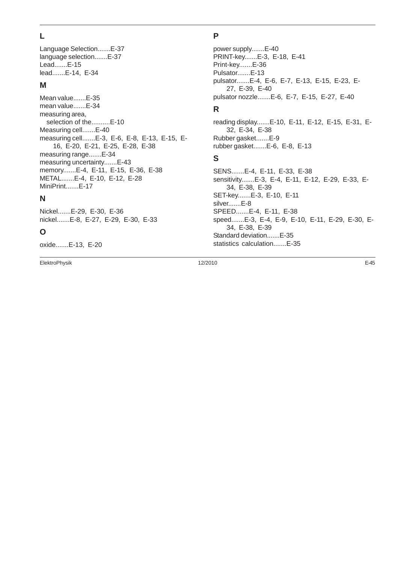#### **L**

Language Selection.......E-37 language selection.......E-37 Lead.......E-15 lead.......E-14, E-34

#### **M**

Mean value.......E-35 mean value.......E-34 measuring area, selection of the..........E-10 Measuring cell.......E-40 measuring cell.......E-3, E-6, E-8, E-13, E-15, E-16, E-20, E-21, E-25, E-28, E-38 measuring range.......E-34 measuring uncertainty.......E-43 memory.......E-4, E-11, E-15, E-36, E-38 METAL.......E-4, E-10, E-12, E-28 MiniPrint.......E-17

#### **N**

Nickel.......E-29, E-30, E-36 nickel.......E-8, E-27, E-29, E-30, E-33

#### **O**

oxide.......E-13, E-20

ElektroPhysik 12/2010 E-45

#### **P**

power supply.......E-40 PRINT-key.......E-3, E-18, E-41 Print-key.......E-36 Pulsator.......E-13 pulsator.......E-4, E-6, E-7, E-13, E-15, E-23, E-27, E-39, E-40 pulsator nozzle.......E-6, E-7, E-15, E-27, E-40

#### **R**

reading display.......E-10, E-11, E-12, E-15, E-31, E-32, E-34, E-38 Rubber gasket.......E-9 rubber gasket.......E-6, E-8, E-13

#### **S**

SENS.......E-4, E-11, E-33, E-38 sensitivity.......E-3, E-4, E-11, E-12, E-29, E-33, E-34, E-38, E-39 SET-key.......E-3, E-10, E-11 silver.......E-8 SPEED.......E-4, E-11, E-38 speed.......E-3, E-4, E-9, E-10, E-11, E-29, E-30, E-34, E-38, E-39 Standard deviation.......E-35 statistics calculation.......E-35